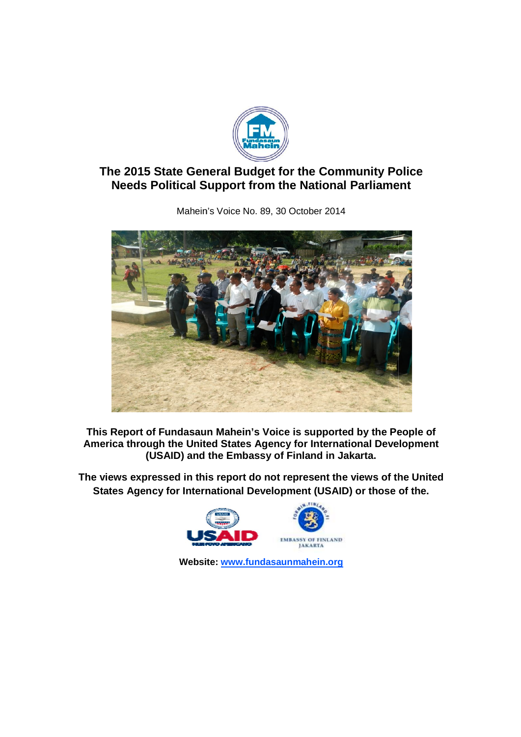

# **The 2015 State General Budget for the Community Police ne 2015 State General Budget for the Community Poli**<br>Needs Political Support from the National Parliament

The 2015 State General Budget for the Community Police<br>Needs Political Support from the National Parliament<br>Mahein's Voice No. 89, 30 October 2014<br>New York 2014<br>This Report of Fundasaun Mahein's Voice is supported by the P

Mahein Mahein's Voice No. 89, 30 October 2014

**This Report of Fundasaun Mahein's Voice is supported by the People of America through the United States Agency for International Development (USAID) and the Embassy of Finland in Jakarta.** This Report of Fundasaun Mahein's Voice is supported by the Peo<br>America through the United States Agency for International Develo<br>(USAID) and the Embassy of Finland in Jakarta.<br>The views expressed in this report do not rep

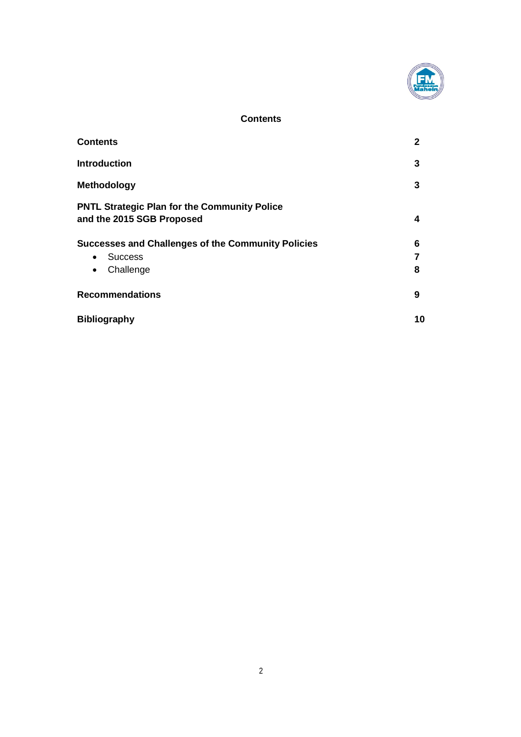

## **Contents**

| <b>Contents</b>                                                                  | $\mathbf{2}$ |
|----------------------------------------------------------------------------------|--------------|
| <b>Introduction</b>                                                              | 3            |
| <b>Methodology</b>                                                               | 3            |
| <b>PNTL Strategic Plan for the Community Police</b><br>and the 2015 SGB Proposed | 4            |
| <b>Successes and Challenges of the Community Policies</b>                        | 6            |
| <b>Success</b><br>$\bullet$                                                      |              |
| Challenge<br>$\bullet$                                                           | 8            |
| <b>Recommendations</b>                                                           | 9            |
| <b>Bibliography</b>                                                              | 10           |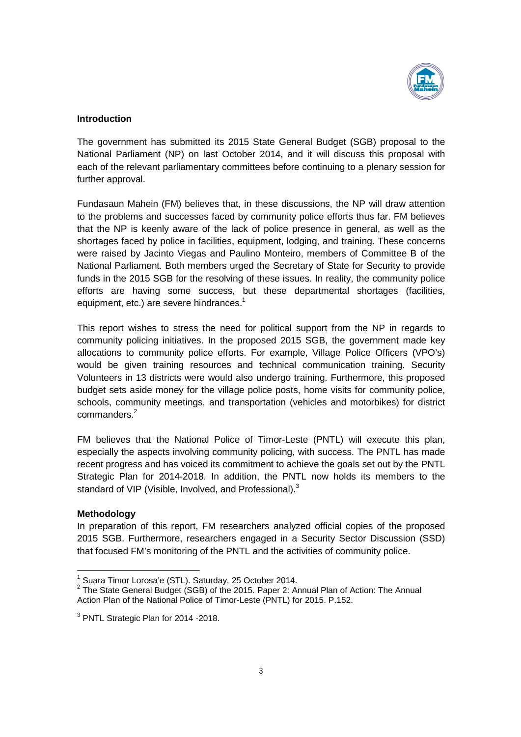

### **Introduction**

The government has submitted its 2015 State General Budget (SGB) proposal to the National Parliament (NP) on last October 2014, and it will discuss this proposal with each of the relevant parliamentary committees before continuing to a plenary session for further approval.

Fundasaun Mahein (FM) believes that, in these discussions, the NP will draw attention to the problems and successes faced by community police efforts thus far. FM believes that the NP is keenly aware of the lack of police presence in general, as well as the shortages faced by police in facilities, equipment, lodging, and training. These concerns were raised by Jacinto Viegas and Paulino Monteiro, members of Committee B of the National Parliament. Both members urged the Secretary of State for Security to provide funds in the 2015 SGB for the resolving of these issues. In reality, the community police efforts are having some success, but these departmental shortages (facilities, equipment, etc.) are severe hindrances.<sup>1</sup>

This report wishes to stress the need for political support from the NP in regards to community policing initiatives. In the proposed 2015 SGB, the government made key allocations to community police efforts. For example, Village Police Officers (VPO's) would be given training resources and technical communication training. Security Volunteers in 13 districts were would also undergo training. Furthermore, this proposed budget sets aside money for the village police posts, home visits for community police, schools, community meetings, and transportation (vehicles and motorbikes) for district commanders. 2

FM believes that the National Police of Timor-Leste (PNTL) will execute this plan, especially the aspects involving community policing, with success. The PNTL has made recent progress and has voiced its commitment to achieve the goals set out by the PNTL Strategic Plan for 2014-2018. In addition, the PNTL now holds its members to the standard of VIP (Visible, Involved, and Professional). $3$ 

#### **Methodology**

In preparation of this report, FM researchers analyzed official copies of the proposed 2015 SGB. Furthermore, researchers engaged in a Security Sector Discussion (SSD) that focused FM's monitoring of the PNTL and the activities of community police.

<sup>&</sup>lt;sup>1</sup> Suara Timor Lorosa'e (STL). Saturday, 25 October 2014.<br><sup>2</sup> The State General Budget (SGB) of the 2015. Paper 2: Annual Plan of Action: The Annual Action Plan of the National Police of Timor-Leste (PNTL) for 2015. P.152.

<sup>&</sup>lt;sup>3</sup> PNTL Strategic Plan for 2014 - 2018.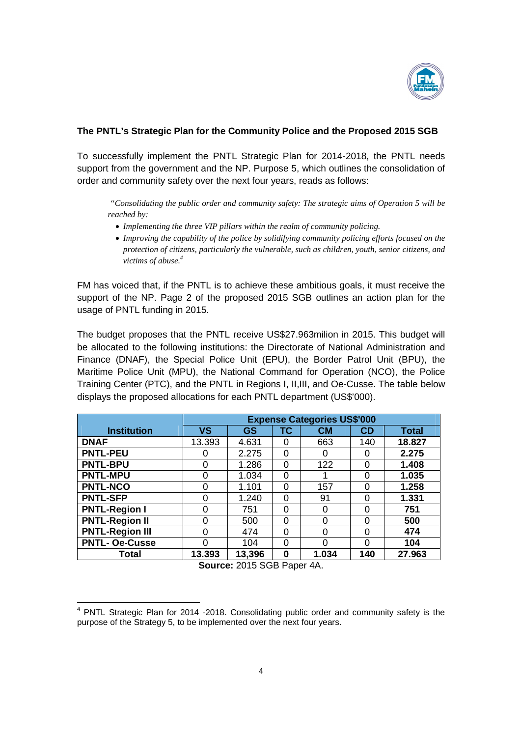

## **The PNTL's Strategic Plan for the Community Police and the Proposed 2015 SGB**

To successfully implement the PNTL Strategic Plan for 2014-2018, the PNTL needs support from the government and the NP. Purpose 5, which outlines the consolidation of order and community safety over the next four years, reads as follows:

*"Consolidating the public order and community safety: The strategic aims of Operation 5 will be reached by:*

- · *Implementing the three VIP pillars within the realm of community policing.*
- · *Improving the capability of the police by solidifying community policing efforts focused on the protection of citizens, particularly the vulnerable, such as children, youth, senior citizens, and victims of abuse. 4*

FM has voiced that, if the PNTL is to achieve these ambitious goals, it must receive the support of the NP. Page 2 of the proposed 2015 SGB outlines an action plan for the usage of PNTL funding in 2015.

The budget proposes that the PNTL receive US\$27.963milion in 2015. This budget will be allocated to the following institutions: the Directorate of National Administration and Finance (DNAF), the Special Police Unit (EPU), the Border Patrol Unit (BPU), the Maritime Police Unit (MPU), the National Command for Operation (NCO), the Police Training Center (PTC), and the PNTL in Regions I, II,III, and Oe-Cusse. The table below displays the proposed allocations for each PNTL department (US\$'000).

|                        | <b>Expense Categories US\$'000</b> |        |          |           |              |              |
|------------------------|------------------------------------|--------|----------|-----------|--------------|--------------|
| <b>Institution</b>     | ٧S                                 | GS     | ТC       | <b>CM</b> | CD           | <b>Total</b> |
| <b>DNAF</b>            | 13.393                             | 4.631  | 0        | 663       | 140          | 18.827       |
| <b>PNTL-PEU</b>        | ი                                  | 2.275  | 0        |           | 0            | 2.275        |
| <b>PNTL-BPU</b>        | 0                                  | 1.286  | 0        | 122       | 0            | 1.408        |
| <b>PNTL-MPU</b>        | 0                                  | 1.034  | 0        |           | 0            | 1.035        |
| <b>PNTL-NCO</b>        | 0                                  | 1.101  | 0        | 157       | 0            | 1.258        |
| <b>PNTL-SFP</b>        | 0                                  | 1.240  | 0        | 91        | $\Omega$     | 1.331        |
| <b>PNTL-Region I</b>   | 0                                  | 751    | 0        |           | 0            | 751          |
| <b>PNTL-Region II</b>  | O                                  | 500    | $\Omega$ | ∩         | 0            | 500          |
| <b>PNTL-Region III</b> | 0                                  | 474    | $\Omega$ | ∩         | 0            | 474          |
| <b>PNTL- Oe-Cusse</b>  | O                                  | 104    | 0        |           | <sup>0</sup> | 104          |
| Total                  | 13.393                             | 13,396 | 0        | 1.034     | 140          | 27.963       |

**Source:** 2015 SGB Paper 4A.

<sup>4</sup> PNTL Strategic Plan for 2014 -2018. Consolidating public order and community safety is the purpose of the Strategy 5, to be implemented over the next four years.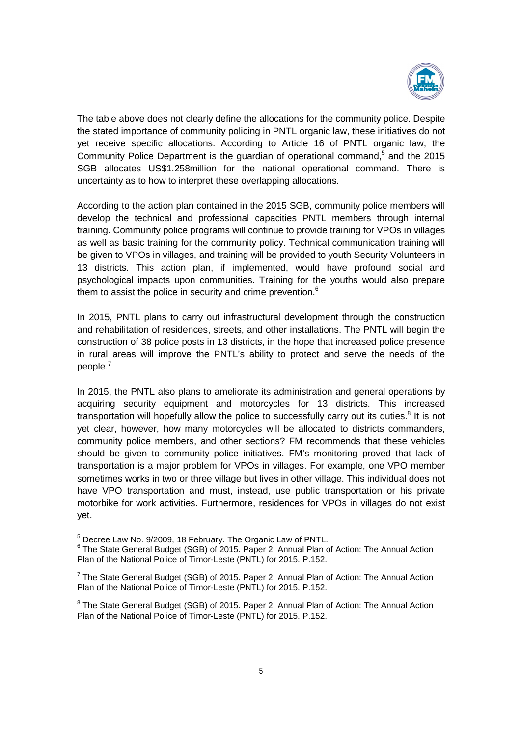

The table above does not clearly define the allocations for the community police. Despite the stated importance of community policing in PNTL organic law, these initiatives do not yet receive specific allocations. According to Article 16 of PNTL organic law, the Community Police Department is the guardian of operational command,<sup>5</sup> and the 2015 SGB allocates US\$1.258million for the national operational command. There is uncertainty as to how to interpret these overlapping allocations.

According to the action plan contained in the 2015 SGB, community police members will develop the technical and professional capacities PNTL members through internal training. Community police programs will continue to provide training for VPOs in villages as well as basic training for the community policy. Technical communication training will be given to VPOs in villages, and training will be provided to youth Security Volunteers in 13 districts. This action plan, if implemented, would have profound social and psychological impacts upon communities. Training for the youths would also prepare them to assist the police in security and crime prevention. $6$ 

In 2015, PNTL plans to carry out infrastructural development through the construction and rehabilitation of residences, streets, and other installations. The PNTL will begin the construction of 38 police posts in 13 districts, in the hope that increased police presence in rural areas will improve the PNTL's ability to protect and serve the needs of the people. 7

In 2015, the PNTL also plans to ameliorate its administration and general operations by acquiring security equipment and motorcycles for 13 districts. This increased transportation will hopefully allow the police to successfully carry out its duties. $8$  It is not yet clear, however, how many motorcycles will be allocated to districts commanders, community police members, and other sections? FM recommends that these vehicles should be given to community police initiatives. FM's monitoring proved that lack of transportation is a major problem for VPOs in villages. For example, one VPO member sometimes works in two or three village but lives in other village. This individual does not have VPO transportation and must, instead, use public transportation or his private motorbike for work activities. Furthermore, residences for VPOs in villages do not exist yet.

 $5$  Decree Law No. 9/2009, 18 February. The Organic Law of PNTL.<br> $6$  The State General Budget (SGB) of 2015. Paper 2: Annual Plan of Action: The Annual Action Plan of the National Police of Timor-Leste (PNTL) for 2015. P.152.

 $7$  The State General Budget (SGB) of 2015. Paper 2: Annual Plan of Action: The Annual Action Plan of the National Police of Timor-Leste (PNTL) for 2015. P.152.

<sup>&</sup>lt;sup>8</sup> The State General Budget (SGB) of 2015. Paper 2: Annual Plan of Action: The Annual Action Plan of the National Police of Timor-Leste (PNTL) for 2015. P.152.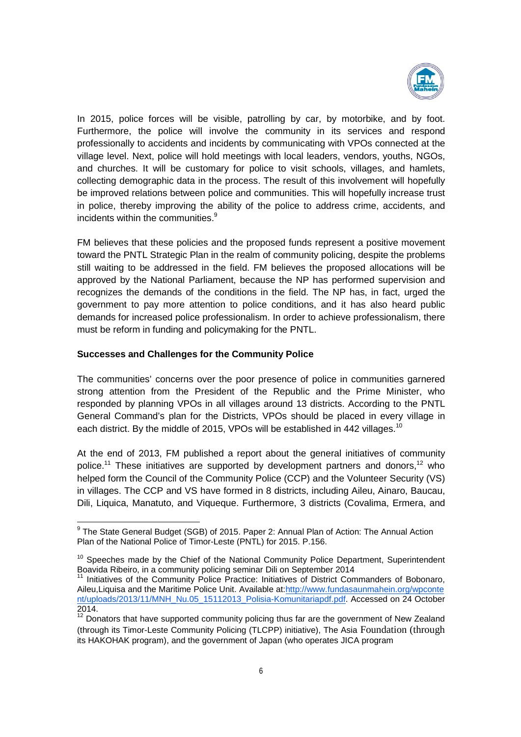

In 2015, police forces will be visible, patrolling by car, by motorbike, and by foot. Furthermore, the police will involve the community in its services and respond professionally to accidents and incidents by communicating with VPOs connected at the village level. Next, police will hold meetings with local leaders, vendors, youths, NGOs, and churches. It will be customary for police to visit schools, villages, and hamlets, collecting demographic data in the process. The result of this involvement will hopefully be improved relations between police and communities. This will hopefully increase trust in police, thereby improving the ability of the police to address crime, accidents, and incidents within the communities.<sup>9</sup>

FM believes that these policies and the proposed funds represent a positive movement toward the PNTL Strategic Plan in the realm of community policing, despite the problems still waiting to be addressed in the field. FM believes the proposed allocations will be approved by the National Parliament, because the NP has performed supervision and recognizes the demands of the conditions in the field. The NP has, in fact, urged the government to pay more attention to police conditions, and it has also heard public demands for increased police professionalism. In order to achieve professionalism, there must be reform in funding and policymaking for the PNTL.

#### **Successes and Challenges for the Community Police**

The communities' concerns over the poor presence of police in communities garnered strong attention from the President of the Republic and the Prime Minister, who responded by planning VPOs in all villages around 13 districts. According to the PNTL General Command's plan for the Districts, VPOs should be placed in every village in each district. By the middle of 2015, VPOs will be established in 442 villages.<sup>10</sup>

At the end of 2013, FM published a report about the general initiatives of community police.<sup>11</sup> These initiatives are supported by development partners and donors,<sup>12</sup> who helped form the Council of the Community Police (CCP) and the Volunteer Security (VS) in villages. The CCP and VS have formed in 8 districts, including Aileu, Ainaro, Baucau, Dili, Liquica, Manatuto, and Viqueque. Furthermore, 3 districts (Covalima, Ermera, and

<sup>&</sup>lt;sup>9</sup> The State General Budget (SGB) of 2015. Paper 2: Annual Plan of Action: The Annual Action Plan of the National Police of Timor-Leste (PNTL) for 2015. P.156.

 $10$  Speeches made by the Chief of the National Community Police Department, Superintendent Boavida Ribeiro, in a community policing seminar Dili on September 2014

Initiatives of the Community Police Practice: Initiatives of District Commanders of Bobonaro, Aileu,Liquisa and the Maritime Police Unit. Available at:http://www.fundasaunmahein.org/wpconte nt/uploads/2013/11/MNH\_Nu.05\_15112013\_Polisia-Komunitariapdf.pdf. Accessed on 24 October 2014.

<sup>&</sup>lt;sup>12</sup> Donators that have supported community policing thus far are the government of New Zealand (through its Timor-Leste Community Policing (TLCPP) initiative), The Asia Foundation (through its HAKOHAK program), and the government of Japan (who operates JICA program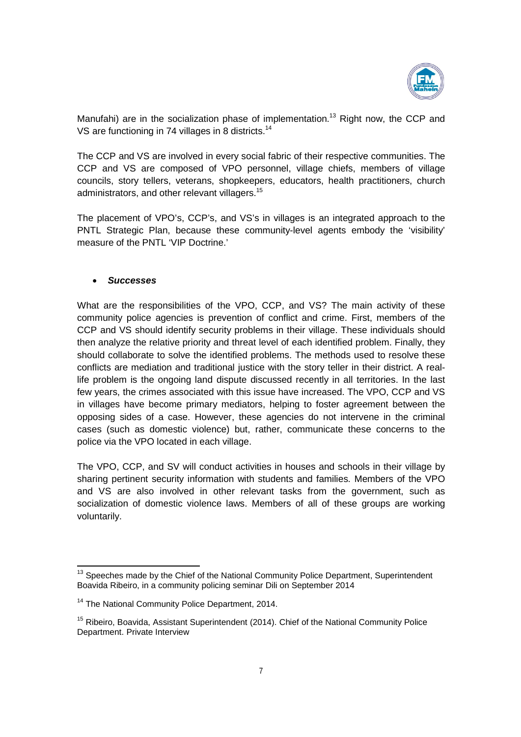

Manufahi) are in the socialization phase of implementation.<sup>13</sup> Right now, the CCP and VS are functioning in 74 villages in 8 districts.<sup>14</sup>

The CCP and VS are involved in every social fabric of their respective communities. The CCP and VS are composed of VPO personnel, village chiefs, members of village councils, story tellers, veterans, shopkeepers, educators, health practitioners, church administrators, and other relevant villagers.<sup>15</sup>

The placement of VPO's, CCP's, and VS's in villages is an integrated approach to the PNTL Strategic Plan, because these community-level agents embody the 'visibility' measure of the PNTL 'VIP Doctrine.'

#### · *Successes*

What are the responsibilities of the VPO, CCP, and VS? The main activity of these community police agencies is prevention of conflict and crime. First, members of the CCP and VS should identify security problems in their village. These individuals should then analyze the relative priority and threat level of each identified problem. Finally, they should collaborate to solve the identified problems. The methods used to resolve these conflicts are mediation and traditional justice with the story teller in their district. A reallife problem is the ongoing land dispute discussed recently in all territories. In the last few years, the crimes associated with this issue have increased. The VPO, CCP and VS in villages have become primary mediators, helping to foster agreement between the opposing sides of a case. However, these agencies do not intervene in the criminal cases (such as domestic violence) but, rather, communicate these concerns to the police via the VPO located in each village.

The VPO, CCP, and SV will conduct activities in houses and schools in their village by sharing pertinent security information with students and families. Members of the VPO and VS are also involved in other relevant tasks from the government, such as socialization of domestic violence laws. Members of all of these groups are working voluntarily.

<sup>&</sup>lt;sup>13</sup> Speeches made by the Chief of the National Community Police Department, Superintendent Boavida Ribeiro, in a community policing seminar Dili on September 2014

<sup>&</sup>lt;sup>14</sup> The National Community Police Department, 2014.

<sup>&</sup>lt;sup>15</sup> Ribeiro, Boavida, Assistant Superintendent (2014). Chief of the National Community Police Department. Private Interview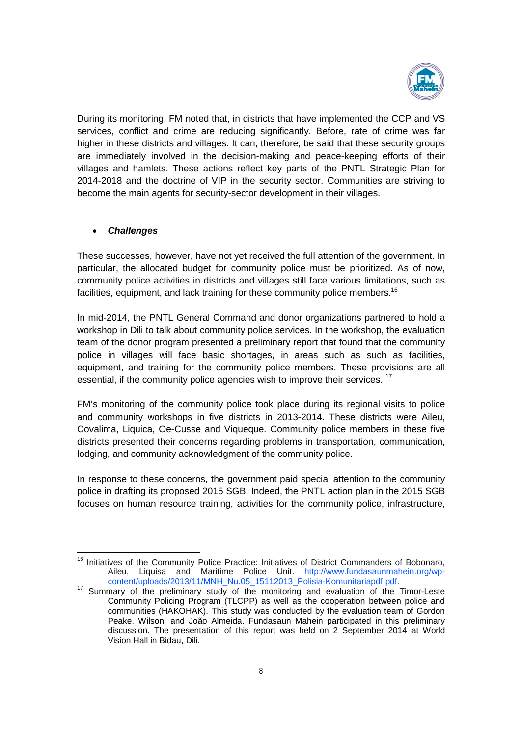

During its monitoring, FM noted that, in districts that have implemented the CCP and VS services, conflict and crime are reducing significantly. Before, rate of crime was far higher in these districts and villages. It can, therefore, be said that these security groups are immediately involved in the decision-making and peace-keeping efforts of their villages and hamlets. These actions reflect key parts of the PNTL Strategic Plan for 2014-2018 and the doctrine of VIP in the security sector. Communities are striving to become the main agents for security-sector development in their villages.

## · *Challenges*

These successes, however, have not yet received the full attention of the government. In particular, the allocated budget for community police must be prioritized. As of now, community police activities in districts and villages still face various limitations, such as facilities, equipment, and lack training for these community police members.<sup>16</sup>

In mid-2014, the PNTL General Command and donor organizations partnered to hold a workshop in Dili to talk about community police services. In the workshop, the evaluation team of the donor program presented a preliminary report that found that the community police in villages will face basic shortages, in areas such as such as facilities, equipment, and training for the community police members. These provisions are all essential, if the community police agencies wish to improve their services. <sup>17</sup>

FM's monitoring of the community police took place during its regional visits to police and community workshops in five districts in 2013-2014. These districts were Aileu, Covalima, Liquica, Oe-Cusse and Viqueque. Community police members in these five districts presented their concerns regarding problems in transportation, communication, lodging, and community acknowledgment of the community police.

In response to these concerns, the government paid special attention to the community police in drafting its proposed 2015 SGB. Indeed, the PNTL action plan in the 2015 SGB focuses on human resource training, activities for the community police, infrastructure,

<sup>&</sup>lt;sup>16</sup> Initiatives of the Community Police Practice: Initiatives of District Commanders of Bobonaro, Aileu, Liquisa and Maritime Police Unit. http://www.fundasaunmahein.org/wp-

content/uploads/2013/11/MNH\_Nu.05\_15112013\_Polisia-Komunitariapdf.pdf.<br><sup>17</sup> Summary of the preliminary study of the monitoring and evaluation of the Timor-Leste Community Policing Program (TLCPP) as well as the cooperation between police and communities (HAKOHAK). This study was conducted by the evaluation team of Gordon Peake, Wilson, and João Almeida. Fundasaun Mahein participated in this preliminary discussion. The presentation of this report was held on 2 September 2014 at World Vision Hall in Bidau, Dili.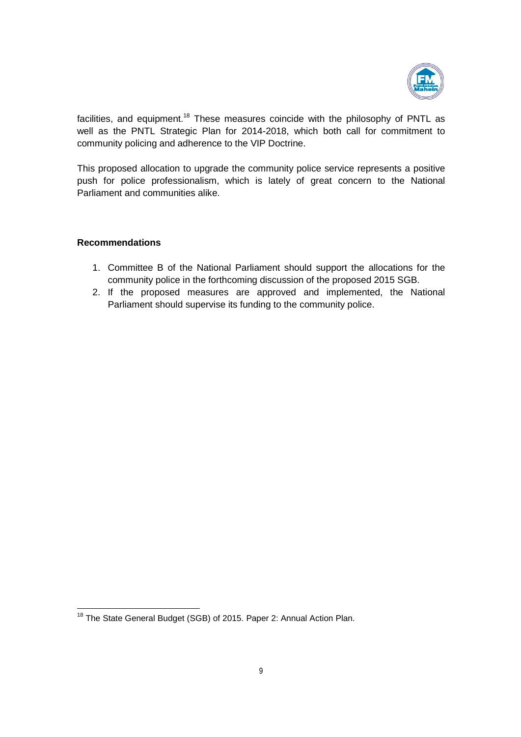

facilities, and equipment.<sup>18</sup> These measures coincide with the philosophy of PNTL as well as the PNTL Strategic Plan for 2014-2018, which both call for commitment to community policing and adherence to the VIP Doctrine.

This proposed allocation to upgrade the community police service represents a positive push for police professionalism, which is lately of great concern to the National Parliament and communities alike.

#### **Recommendations**

- 1. Committee B of the National Parliament should support the allocations for the community police in the forthcoming discussion of the proposed 2015 SGB.
- 2. If the proposed measures are approved and implemented, the National Parliament should supervise its funding to the community police.

<sup>&</sup>lt;sup>18</sup> The State General Budget (SGB) of 2015. Paper 2: Annual Action Plan.